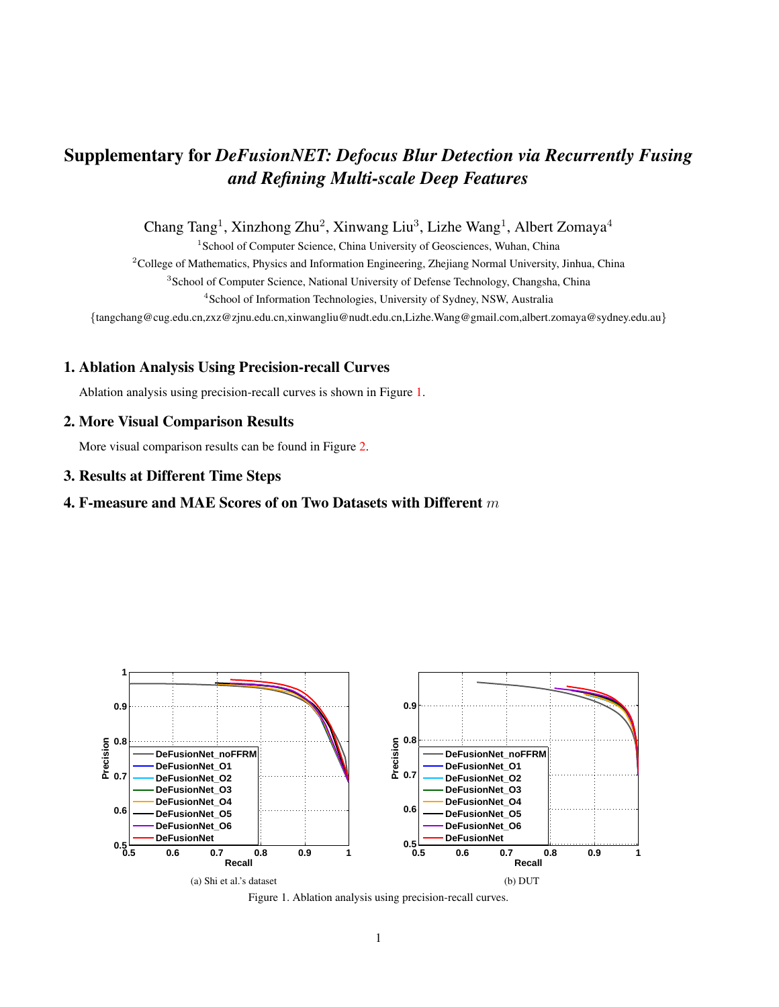# Supplementary for *DeFusionNET: Defocus Blur Detection via Recurrently Fusing and Refining Multi-scale Deep Features*

Chang Tang<sup>1</sup>, Xinzhong Zhu<sup>2</sup>, Xinwang Liu<sup>3</sup>, Lizhe Wang<sup>1</sup>, Albert Zomaya<sup>4</sup>

<sup>1</sup> School of Computer Science, China University of Geosciences, Wuhan, China

<sup>2</sup>College of Mathematics, Physics and Information Engineering, Zhejiang Normal University, Jinhua, China <sup>3</sup> School of Computer Science, National University of Defense Technology, Changsha, China <sup>4</sup>School of Information Technologies, University of Sydney, NSW, Australia

{tangchang@cug.edu.cn,zxz@zjnu.edu.cn,xinwangliu@nudt.edu.cn,Lizhe.Wang@gmail.com,albert.zomaya@sydney.edu.au}

### 1. Ablation Analysis Using Precision-recall Curves

Ablation analysis using precision-recall curves is shown in Figure [1.](#page-0-0)

## 2. More Visual Comparison Results

More visual comparison results can be found in Figure [2.](#page-1-0)

#### 3. Results at Different Time Steps

## 4. F-measure and MAE Scores of on Two Datasets with Different  $m$



<span id="page-0-0"></span>Figure 1. Ablation analysis using precision-recall curves.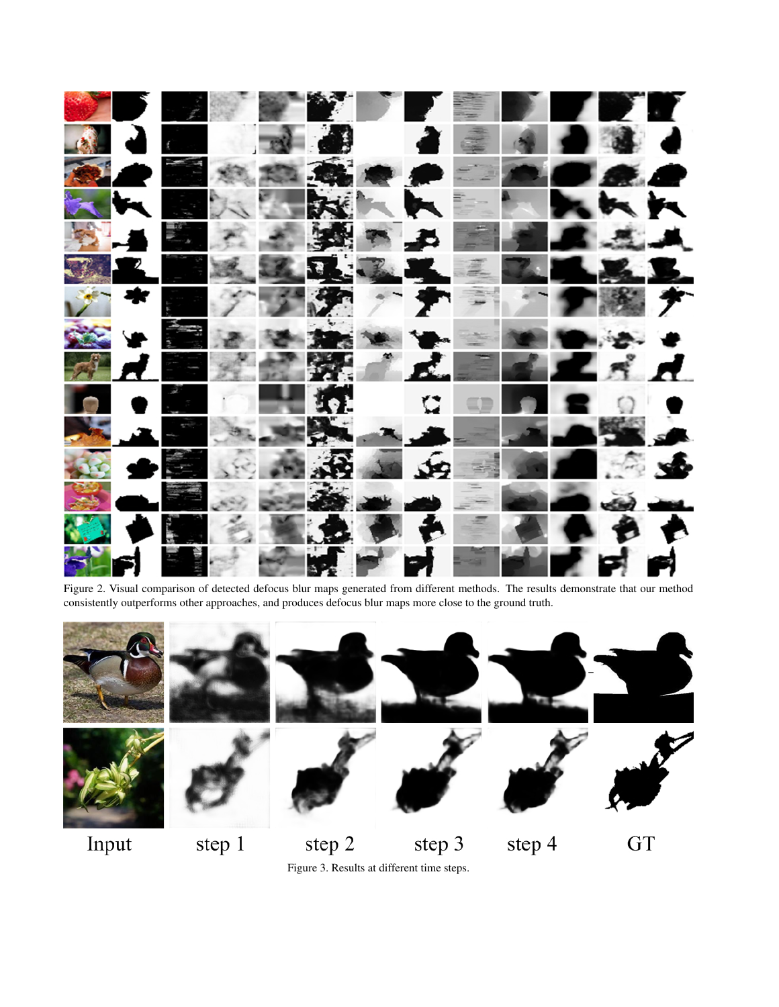

<span id="page-1-0"></span>Figure 2. Visual comparison of detected defocus blur maps generated from different methods. The results demonstrate that our method consistently outperforms other approaches, and produces defocus blur maps more close to the ground truth.



Figure 3. Results at different time steps.